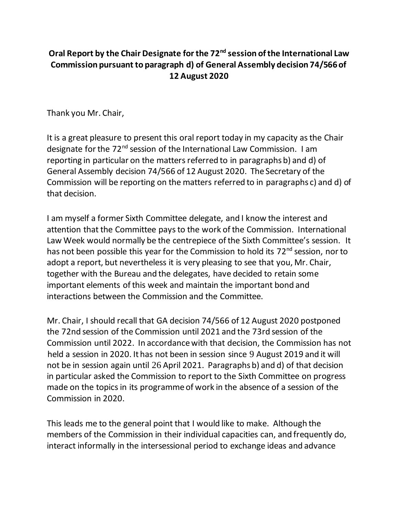## **Oral Report by the Chair Designate for the 72nd session of the International Law Commission pursuant to paragraph d) of General Assembly decision 74/566 of 12 August 2020**

Thank you Mr. Chair,

It is a great pleasure to present this oral report today in my capacity as the Chair designate for the 72<sup>nd</sup> session of the International Law Commission. I am reporting in particular on the matters referred to in paragraphs b) and d) of General Assembly decision 74/566 of 12 August 2020. The Secretary of the Commission will be reporting on the matters referred to in paragraphs c) and d) of that decision.

I am myself a former Sixth Committee delegate, and I know the interest and attention that the Committee pays to the work of the Commission. International Law Week would normally be the centrepiece of the Sixth Committee's session. It has not been possible this year for the Commission to hold its 72<sup>nd</sup> session, nor to adopt a report, but nevertheless it is very pleasing to see that you, Mr. Chair, together with the Bureau and the delegates, have decided to retain some important elements of this week and maintain the important bond and interactions between the Commission and the Committee.

Mr. Chair, I should recall that GA decision 74/566 of 12 August 2020 postponed the 72nd session of the Commission until 2021 and the 73rd session of the Commission until 2022. In accordance with that decision, the Commission has not held a session in 2020. It has not been in session since 9 August 2019 and it will not be in session again until 26 April 2021. Paragraphs b) and d) of that decision in particular asked the Commission to report to the Sixth Committee on progress made on the topics in its programme of work in the absence of a session of the Commission in 2020.

This leads me to the general point that I would like to make. Although the members of the Commission in their individual capacities can, and frequently do, interact informally in the intersessional period to exchange ideas and advance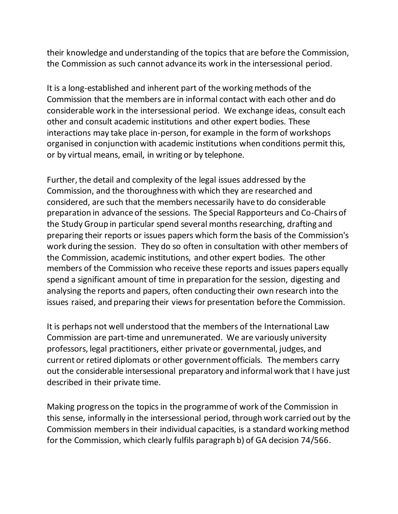their knowledge and understanding of the topics that are before the Commission, the Commission as such cannot advance its work in the intersessional period.

It is a long-established and inherent part of the working methods of the Commission that the members are in informal contact with each other and do considerable work in the intersessional period. We exchange ideas, consult each other and consult academic institutions and other expert bodies. These interactions may take place in-person, for example in the form of workshops organised in conjunction with academic institutions when conditions permit this, or by virtual means, email, in writing or by telephone.

Further, the detail and complexity of the legal issues addressed by the Commission, and the thoroughness with which they are researched and considered, are such that the members necessarily have to do considerable preparation in advance of the sessions. The Special Rapporteurs and Co-Chairs of the Study Group in particular spend several months researching, drafting and preparing their reports or issues papers which form the basis of the Commission's work during the session. They do so often in consultation with other members of the Commission, academic institutions, and other expert bodies. The other members of the Commission who receive these reports and issues papers equally spend a significant amount of time in preparation for the session, digesting and analysing the reports and papers, often conducting their own research into the issues raised, and preparing their views for presentation before the Commission.

It is perhaps not well understood that the members of the International Law Commission are part-time and unremunerated. We are variously university professors, legal practitioners, either private or governmental, judges, and current or retired diplomats or other government officials. The members carry out the considerable intersessional preparatory and informal work that I have just described in their private time.

Making progress on the topics in the programme of work of the Commission in this sense, informally in the intersessional period, through work carried out by the Commission members in their individual capacities, is a standard working method for the Commission, which clearly fulfils paragraph b) of GA decision 74/566.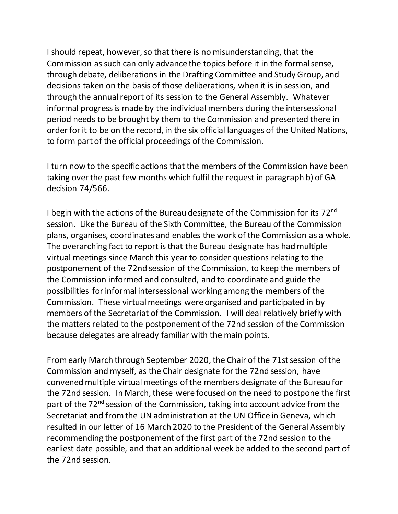I should repeat, however, so that there is no misunderstanding, that the Commission as such can only advance the topics before it in the formal sense, through debate, deliberations in the Drafting Committee and Study Group, and decisions taken on the basis of those deliberations, when it is in session, and through the annual report of its session to the General Assembly. Whatever informal progress is made by the individual members during the intersessional period needs to be brought by them to the Commission and presented there in order for it to be on the record, in the six official languages of the United Nations, to form part of the official proceedings of the Commission.

I turn now to the specific actions that the members of the Commission have been taking over the past few months which fulfil the request in paragraph b) of GA decision 74/566.

I begin with the actions of the Bureau designate of the Commission for its  $72<sup>nd</sup>$ session. Like the Bureau of the Sixth Committee, the Bureau of the Commission plans, organises, coordinates and enables the work of the Commission as a whole. The overarching fact to report is that the Bureau designate has had multiple virtual meetings since March this year to consider questions relating to the postponement of the 72nd session of the Commission, to keep the members of the Commission informed and consulted, and to coordinate and guide the possibilities for informal intersessional working among the members of the Commission. These virtual meetings were organised and participated in by members of the Secretariat of the Commission. I will deal relatively briefly with the matters related to the postponement of the 72nd session of the Commission because delegates are already familiar with the main points.

Fromearly March through September 2020, the Chair of the 71st session of the Commission and myself, as the Chair designate for the 72nd session, have convened multiple virtual meetings of the members designate of the Bureau for the 72nd session. In March, these were focused on the need to postpone the first part of the 72<sup>nd</sup> session of the Commission, taking into account advice from the Secretariat and from the UN administration at the UN Office in Geneva, which resulted in our letter of 16 March 2020 to the President of the General Assembly recommending the postponement of the first part of the 72nd session to the earliest date possible, and that an additional week be added to the second part of the 72nd session.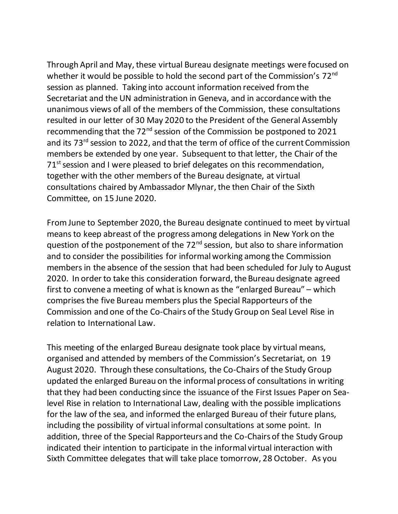Through April and May, these virtual Bureau designate meetings were focused on whether it would be possible to hold the second part of the Commission's 72<sup>nd</sup> session as planned. Taking into account information received from the Secretariat and the UN administration in Geneva, and in accordance with the unanimous views of all of the members of the Commission, these consultations resulted in our letter of 30 May 2020 to the President of the General Assembly recommending that the 72nd session of the Commission be postponed to 2021 and its 73<sup>rd</sup> session to 2022, and that the term of office of the current Commission members be extended by one year. Subsequent to that letter, the Chair of the  $71<sup>st</sup>$  session and I were pleased to brief delegates on this recommendation, together with the other members of the Bureau designate, at virtual consultations chaired by Ambassador Mlynar, the then Chair of the Sixth Committee, on 15 June 2020.

From June to September 2020, the Bureau designate continued to meet by virtual means to keep abreast of the progress among delegations in New York on the question of the postponement of the  $72<sup>nd</sup>$  session, but also to share information and to consider the possibilities for informal working among the Commission members in the absence of the session that had been scheduled for July to August 2020. In order to take this consideration forward, the Bureau designate agreed first to convene a meeting of what is known as the "enlarged Bureau" – which comprisesthe five Bureau members plus the Special Rapporteurs of the Commission and one of the Co-Chairs of the Study Group on Seal Level Rise in relation to International Law.

This meeting of the enlarged Bureau designate took place by virtual means, organised and attended by members of the Commission's Secretariat, on 19 August 2020. Through these consultations, the Co-Chairs of the Study Group updated the enlarged Bureau on the informal process of consultations in writing that they had been conducting since the issuance of the First Issues Paper on Sealevel Rise in relation to International Law, dealing with the possible implications for the law of the sea, and informed the enlarged Bureau of their future plans, including the possibility of virtual informal consultations at some point. In addition, three of the Special Rapporteurs and the Co-Chairs of the Study Group indicated their intention to participate in the informal virtual interaction with Sixth Committee delegates that will take place tomorrow, 28 October. As you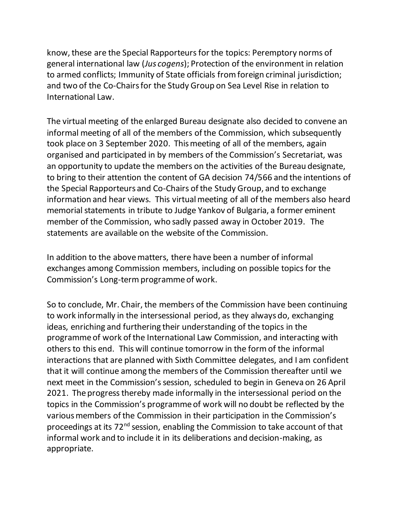know, these are the Special Rapporteurs for the topics: Peremptory norms of general international law (*Jus cogens*); Protection of the environment in relation to armed conflicts; Immunity of State officials from foreign criminal jurisdiction; and two of the Co-Chairs for the Study Group on Sea Level Rise in relation to International Law.

The virtual meeting of the enlarged Bureau designate also decided to convene an informal meeting of all of the members of the Commission, which subsequently took place on 3 September 2020. This meeting of all of the members, again organised and participated in by members of the Commission's Secretariat, was an opportunity to update the members on the activities of the Bureau designate, to bring to their attention the content of GA decision 74/566 and the intentions of the Special Rapporteurs and Co-Chairs of the Study Group, and to exchange information and hear views. This virtual meeting of all of the members also heard memorial statements in tribute to Judge Yankov of Bulgaria, a former eminent member of the Commission, who sadly passed away in October 2019. The statements are available on the website of the Commission.

In addition to the above matters, there have been a number of informal exchanges among Commission members, including on possible topics for the Commission's Long-term programme of work.

So to conclude, Mr. Chair, the members of the Commission have been continuing to work informally in the intersessional period, as they always do, exchanging ideas, enriching and furthering their understanding of the topics in the programme of work of the International Law Commission, and interacting with others to this end. This will continue tomorrow in the form of the informal interactions that are planned with Sixth Committee delegates, and I am confident that it will continue among the members of the Commission thereafter until we next meet in the Commission's session, scheduled to begin in Geneva on 26 April 2021. The progress thereby made informally in the intersessional period on the topics in the Commission's programme of work will no doubt be reflected by the various members of the Commission in their participation in the Commission's proceedings at its 72<sup>nd</sup> session, enabling the Commission to take account of that informal work and to include it in its deliberations and decision-making, as appropriate.